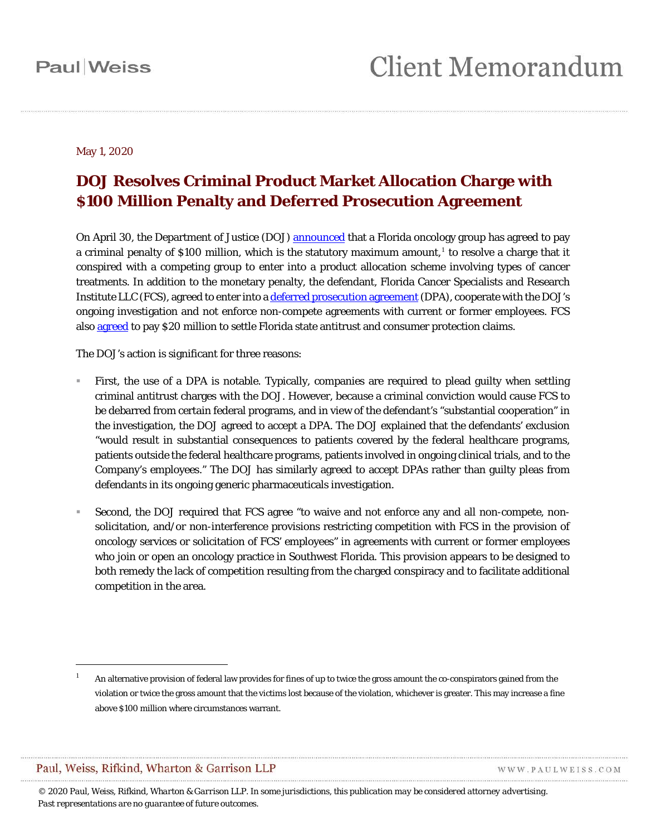#### May 1, 2020

#### **DOJ Resolves Criminal Product Market Allocation Charge with \$100 Million Penalty and Deferred Prosecution Agreement**

On April 30, the Department of Justice (DOJ) [announced](https://www.justice.gov/opa/pr/leading-cancer-treatment-center-admits-antitrust-crime-and-agrees-pay-100-million-criminal) that a Florida oncology group has agreed to pay a criminal penalty of \$100 million, which is the statutory maximum amount, [1](#page-0-0) to resolve a charge that it conspired with a competing group to enter into a product allocation scheme involving types of cancer treatments. In addition to the monetary penalty, the defendant, Florida Cancer Specialists and Research Institute LLC (FCS), agreed to enter into [a deferred prosecution agreement](https://ecf.flmd.uscourts.gov/cgi-bin/show_multidocs.pl?caseid=376823&arr_de_seq_nums=16&magic_num=&pdf_header=&hdr=&pdf_toggle_possible=&caseid=376823&zipit=&magic_num=&arr_de_seq_nums=16&got_warning=&create_roa=&create_appendix=&bates_format=&dkt=&got_receipt=1) (DPA), cooperate with the DOJ's ongoing investigation and not enforce non-compete agreements with current or former employees. FCS also [agreed](http://www.myfloridalegal.com/newsrel.nsf/newsreleases/7EE08CD3BEBCB55A8525855A00735AFB?Open&) to pay \$20 million to settle Florida state antitrust and consumer protection claims.

The DOJ's action is significant for three reasons:

- First, the use of a DPA is notable. Typically, companies are required to plead guilty when settling criminal antitrust charges with the DOJ. However, because a criminal conviction would cause FCS to be debarred from certain federal programs, and in view of the defendant's "substantial cooperation" in the investigation, the DOJ agreed to accept a DPA. The DOJ explained that the defendants' exclusion "would result in substantial consequences to patients covered by the federal healthcare programs, patients outside the federal healthcare programs, patients involved in ongoing clinical trials, and to the Company's employees." The DOJ has similarly agreed to accept DPAs rather than guilty pleas from defendants in its ongoing generic pharmaceuticals investigation.
- Second, the DOJ required that FCS agree "to waive and not enforce any and all non-compete, nonsolicitation, and/or non-interference provisions restricting competition with FCS in the provision of oncology services or solicitation of FCS' employees" in agreements with current or former employees who join or open an oncology practice in Southwest Florida. This provision appears to be designed to both remedy the lack of competition resulting from the charged conspiracy and to facilitate additional competition in the area.

Paul, Weiss, Rifkind, Wharton & Garrison LLP

1

WWW.PAULWEISS.COM

<span id="page-0-0"></span><sup>1</sup> An alternative provision of federal law provides for fines of up to twice the gross amount the co-conspirators gained from the violation or twice the gross amount that the victims lost because of the violation, whichever is greater. This may increase a fine above \$100 million where circumstances warrant.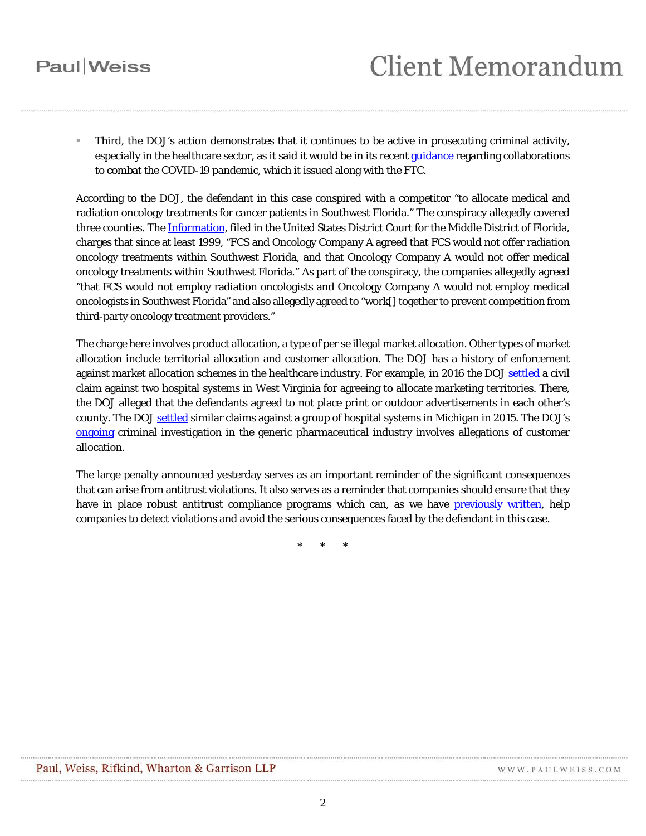## **Paul** Weiss

 Third, the DOJ's action demonstrates that it continues to be active in prosecuting criminal activity, especially in the healthcare sector, as it said it would be in its recen[t guidance](https://www.justice.gov/opa/pr/justice-department-and-federal-trade-commission-announce-expedited-antitrust-procedure-and) regarding collaborations to combat the COVID-19 pandemic, which it issued along with the FTC.

According to the DOJ, the defendant in this case conspired with a competitor "to allocate medical and radiation oncology treatments for cancer patients in Southwest Florida." The conspiracy allegedly covered three counties. The [Information,](https://ecf.flmd.uscourts.gov/doc1/047121493620) filed in the United States District Court for the Middle District of Florida, charges that since at least 1999, "FCS and Oncology Company A agreed that FCS would not offer radiation oncology treatments within Southwest Florida, and that Oncology Company A would not offer medical oncology treatments within Southwest Florida." As part of the conspiracy, the companies allegedly agreed "that FCS would not employ radiation oncologists and Oncology Company A would not employ medical oncologists in Southwest Florida" and also allegedly agreed to "work[] together to prevent competition from third-party oncology treatment providers."

The charge here involves product allocation, a type of per se illegal market allocation. Other types of market allocation include territorial allocation and customer allocation. The DOJ has a history of enforcement against market allocation schemes in the healthcare industry. For example, in 2016 the DOJ [settled](https://www.justice.gov/opa/pr/justice-department-sues-two-hospital-systems-agreeing-allocate-marketing-territories) a civil claim against two hospital systems in West Virginia for agreeing to allocate marketing territories. There, the DOJ alleged that the defendants agreed to not place print or outdoor advertisements in each other's county. The DOJ [settled](https://www.justice.gov/opa/pr/justice-department-sues-four-michigan-hospital-systems-unlawfully-agreeing-limit-marketing) similar claims against a group of hospital systems in Michigan in 2015. The DOJ's [ongoing](https://www.justice.gov/opa/pr/major-generic-pharmaceutical-company-admits-antitrust-crimes) criminal investigation in the generic pharmaceutical industry involves allegations of customer allocation.

The large penalty announced yesterday serves as an important reminder of the significant consequences that can arise from antitrust violations. It also serves as a reminder that companies should ensure that they have in place robust antitrust compliance programs which can, as we have [previously written,](https://www.paulweiss.com/practices/litigation/antitrust/publications/department-of-justice-antitrust-division-announces-important-new-policy-regarding-compliance-programs?id=29021) help companies to detect violations and avoid the serious consequences faced by the defendant in this case.

\* \* \*